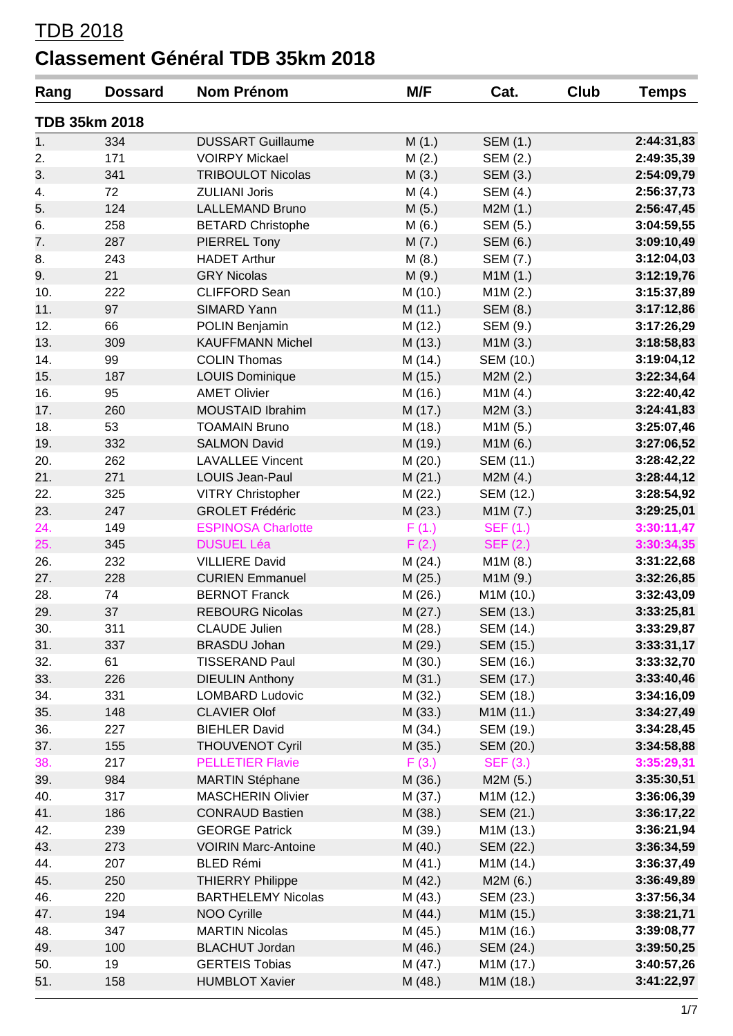#### TDB 2018

### **Classement Général TDB 35km 2018**

| Rang | <b>Dossard</b>       | <b>Nom Prénom</b>          | M/F     | Cat.            | Club | <b>Temps</b> |
|------|----------------------|----------------------------|---------|-----------------|------|--------------|
|      | <b>TDB 35km 2018</b> |                            |         |                 |      |              |
| 1.   | 334                  | <b>DUSSART Guillaume</b>   | M(1.)   | SEM (1.)        |      | 2:44:31,83   |
| 2.   | 171                  | <b>VOIRPY Mickael</b>      | M(2.)   | SEM (2.)        |      | 2:49:35,39   |
| 3.   | 341                  | <b>TRIBOULOT Nicolas</b>   | M(3.)   | SEM (3.)        |      | 2:54:09,79   |
| 4.   | 72                   | <b>ZULIANI Joris</b>       | M(4.)   | <b>SEM (4.)</b> |      | 2:56:37,73   |
| 5.   | 124                  | <b>LALLEMAND Bruno</b>     | M(5.)   | M2M(1.)         |      | 2:56:47,45   |
| 6.   | 258                  | <b>BETARD Christophe</b>   | M(6.)   | SEM (5.)        |      | 3:04:59,55   |
| 7.   | 287                  | PIERREL Tony               | M(7.)   | <b>SEM (6.)</b> |      | 3:09:10,49   |
| 8.   | 243                  | <b>HADET Arthur</b>        | M(8.)   | SEM (7.)        |      | 3:12:04,03   |
| 9.   | 21                   | <b>GRY Nicolas</b>         | M(9.)   | M1M (1.)        |      | 3:12:19,76   |
| 10.  | 222                  | <b>CLIFFORD Sean</b>       | M (10.) | M1M(2.)         |      | 3:15:37,89   |
| 11.  | 97                   | SIMARD Yann                | M(11.)  | SEM (8.)        |      | 3:17:12,86   |
| 12.  | 66                   | POLIN Benjamin             | M (12.) | SEM (9.)        |      | 3:17:26,29   |
| 13.  | 309                  | <b>KAUFFMANN Michel</b>    | M(13.)  | M1M(3.)         |      | 3:18:58,83   |
| 14.  | 99                   | <b>COLIN Thomas</b>        | M(14.)  | SEM (10.)       |      | 3:19:04,12   |
| 15.  | 187                  | <b>LOUIS Dominique</b>     | M (15.) | M2M(2.)         |      | 3:22:34,64   |
| 16.  | 95                   | <b>AMET Olivier</b>        | M (16.) | M1M (4.)        |      | 3:22:40,42   |
| 17.  | 260                  | <b>MOUSTAID Ibrahim</b>    | M(17.)  | M2M(3.)         |      | 3:24:41,83   |
| 18.  | 53                   | <b>TOAMAIN Bruno</b>       | M (18.) | M1M (5.)        |      | 3:25:07,46   |
| 19.  | 332                  | <b>SALMON David</b>        | M (19.) | M1M (6.)        |      | 3:27:06,52   |
| 20.  | 262                  | <b>LAVALLEE Vincent</b>    | M(20.)  | SEM (11.)       |      | 3:28:42,22   |
| 21.  | 271                  | LOUIS Jean-Paul            | M(21.)  | M2M(4.)         |      | 3:28:44,12   |
| 22.  | 325                  | VITRY Christopher          | M(22.)  | SEM (12.)       |      | 3:28:54,92   |
| 23.  | 247                  | <b>GROLET Frédéric</b>     | M(23.)  | M1M (7.)        |      | 3:29:25,01   |
| 24.  | 149                  | <b>ESPINOSA Charlotte</b>  | F(1.)   | <b>SEF (1.)</b> |      | 3:30:11,47   |
| 25.  | 345                  | <b>DUSUEL Léa</b>          | F(2.)   | <b>SEF (2.)</b> |      | 3:30:34,35   |
| 26.  | 232                  | <b>VILLIERE David</b>      | M(24.)  | M1M(8.)         |      | 3:31:22,68   |
| 27.  | 228                  | <b>CURIEN Emmanuel</b>     | M(25.)  | M1M (9.)        |      | 3:32:26,85   |
| 28.  | 74                   | <b>BERNOT Franck</b>       | M(26.)  | M1M (10.)       |      | 3:32:43,09   |
| 29.  | 37                   | <b>REBOURG Nicolas</b>     | M(27.)  | SEM (13.)       |      | 3:33:25,81   |
| 30.  | 311                  | <b>CLAUDE Julien</b>       | M (28.) | SEM (14.)       |      | 3:33:29,87   |
| 31.  | 337                  | <b>BRASDU Johan</b>        | M (29.) | SEM (15.)       |      | 3:33:31,17   |
| 32.  | 61                   | <b>TISSERAND Paul</b>      | M (30.) | SEM (16.)       |      | 3:33:32,70   |
| 33.  | 226                  | <b>DIEULIN Anthony</b>     | M(31.)  | SEM (17.)       |      | 3:33:40,46   |
| 34.  | 331                  | <b>LOMBARD Ludovic</b>     | M (32.) | SEM (18.)       |      | 3:34:16,09   |
| 35.  | 148                  | <b>CLAVIER Olof</b>        | M(33.)  | M1M (11.)       |      | 3:34:27,49   |
| 36.  | 227                  | <b>BIEHLER David</b>       | M(34.)  | SEM (19.)       |      | 3:34:28,45   |
| 37.  | 155                  | <b>THOUVENOT Cyril</b>     | M (35.) | SEM (20.)       |      | 3:34:58,88   |
| 38.  | 217                  | <b>PELLETIER Flavie</b>    | F(3.)   | <b>SEF (3.)</b> |      | 3:35:29,31   |
| 39.  | 984                  | <b>MARTIN Stéphane</b>     | M(36.)  | M2M(5.)         |      | 3:35:30,51   |
| 40.  | 317                  | <b>MASCHERIN Olivier</b>   | M (37.) | M1M (12.)       |      | 3:36:06,39   |
| 41.  | 186                  | <b>CONRAUD Bastien</b>     | M (38.) | SEM (21.)       |      | 3:36:17,22   |
| 42.  | 239                  | <b>GEORGE Patrick</b>      | M (39.) | M1M (13.)       |      | 3:36:21,94   |
| 43.  | 273                  | <b>VOIRIN Marc-Antoine</b> | M (40.) | SEM (22.)       |      | 3:36:34,59   |
| 44.  | 207                  | <b>BLED Rémi</b>           | M(41.)  | M1M (14.)       |      | 3:36:37,49   |
| 45.  | 250                  | <b>THIERRY Philippe</b>    | M (42.) | M2M (6.)        |      | 3:36:49,89   |
| 46.  | 220                  | <b>BARTHELEMY Nicolas</b>  | M (43.) | SEM (23.)       |      | 3:37:56,34   |
| 47.  | 194                  | NOO Cyrille                | M(44.)  | M1M (15.)       |      | 3:38:21,71   |
| 48.  | 347                  | <b>MARTIN Nicolas</b>      | M (45.) | M1M (16.)       |      | 3:39:08,77   |
| 49.  | 100                  | <b>BLACHUT Jordan</b>      | M (46.) | SEM (24.)       |      | 3:39:50,25   |
| 50.  | 19                   | <b>GERTEIS Tobias</b>      | M (47.) | M1M (17.)       |      | 3:40:57,26   |
| 51.  | 158                  | <b>HUMBLOT Xavier</b>      | M (48.) | M1M (18.)       |      | 3:41:22,97   |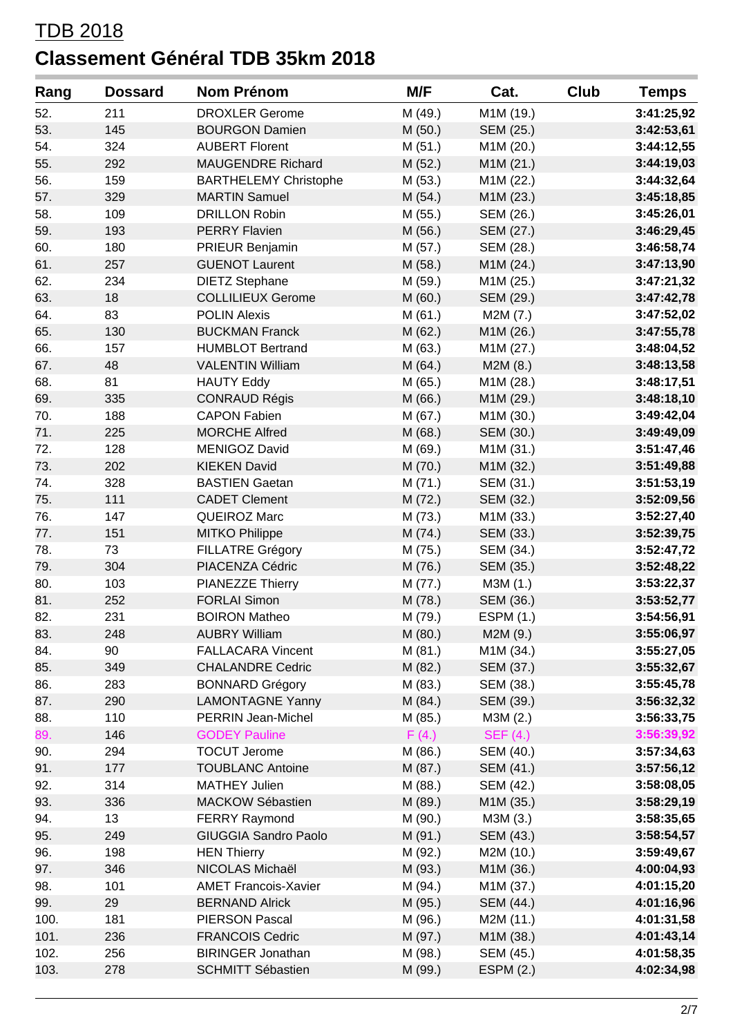| Rang | <b>Dossard</b> | Nom Prénom                   | M/F     | Cat.             | <b>Club</b> | <b>Temps</b> |
|------|----------------|------------------------------|---------|------------------|-------------|--------------|
| 52.  | 211            | <b>DROXLER Gerome</b>        | M (49.) | M1M (19.)        |             | 3:41:25,92   |
| 53.  | 145            | <b>BOURGON Damien</b>        | M(50.)  | SEM (25.)        |             | 3:42:53,61   |
| 54.  | 324            | <b>AUBERT Florent</b>        | M(51.)  | M1M (20.)        |             | 3:44:12,55   |
| 55.  | 292            | <b>MAUGENDRE Richard</b>     | M(52.)  | M1M (21.)        |             | 3:44:19,03   |
| 56.  | 159            | <b>BARTHELEMY Christophe</b> | M(53.)  | M1M (22.)        |             | 3:44:32,64   |
| 57.  | 329            | <b>MARTIN Samuel</b>         | M(54.)  | M1M (23.)        |             | 3:45:18,85   |
| 58.  | 109            | <b>DRILLON Robin</b>         | M (55.) | SEM (26.)        |             | 3:45:26,01   |
| 59.  | 193            | <b>PERRY Flavien</b>         | M (56.) | SEM (27.)        |             | 3:46:29,45   |
| 60.  | 180            | PRIEUR Benjamin              | M (57.) | SEM (28.)        |             | 3:46:58,74   |
| 61.  | 257            | <b>GUENOT Laurent</b>        | M (58.) | M1M (24.)        |             | 3:47:13,90   |
| 62.  | 234            | <b>DIETZ Stephane</b>        | M (59.) | M1M (25.)        |             | 3:47:21,32   |
| 63.  | 18             | <b>COLLILIEUX Gerome</b>     | M(60.)  | SEM (29.)        |             | 3:47:42,78   |
| 64.  | 83             | <b>POLIN Alexis</b>          | M(61.)  | M2M (7.)         |             | 3:47:52,02   |
| 65.  | 130            | <b>BUCKMAN Franck</b>        | M(62.)  | M1M (26.)        |             | 3:47:55,78   |
| 66.  | 157            | <b>HUMBLOT Bertrand</b>      | M (63.) | M1M (27.)        |             | 3:48:04,52   |
| 67.  | 48             | <b>VALENTIN William</b>      | M(64.)  | M2M (8.)         |             | 3:48:13,58   |
| 68.  | 81             | <b>HAUTY Eddy</b>            | M (65.) | M1M (28.)        |             | 3:48:17,51   |
| 69.  | 335            | <b>CONRAUD Régis</b>         | M(66.)  | M1M (29.)        |             | 3:48:18,10   |
| 70.  | 188            | <b>CAPON Fabien</b>          | M (67.) | M1M (30.)        |             | 3:49:42,04   |
| 71.  | 225            | <b>MORCHE Alfred</b>         | M(68.)  | SEM (30.)        |             | 3:49:49,09   |
| 72.  | 128            | <b>MENIGOZ David</b>         | M (69.) | M1M (31.)        |             | 3:51:47,46   |
| 73.  | 202            | <b>KIEKEN David</b>          | M(70.)  | M1M (32.)        |             | 3:51:49,88   |
| 74.  | 328            | <b>BASTIEN Gaetan</b>        | M(71.)  | SEM (31.)        |             | 3:51:53,19   |
| 75.  | 111            | <b>CADET Clement</b>         | M (72.) | SEM (32.)        |             | 3:52:09,56   |
| 76.  | 147            | QUEIROZ Marc                 | M (73.) | M1M (33.)        |             | 3:52:27,40   |
| 77.  | 151            | <b>MITKO Philippe</b>        | M (74.) | SEM (33.)        |             | 3:52:39,75   |
| 78.  | 73             | <b>FILLATRE Grégory</b>      | M (75.) | SEM (34.)        |             | 3:52:47,72   |
| 79.  | 304            | PIACENZA Cédric              | M (76.) | SEM (35.)        |             | 3:52:48,22   |
| 80.  | 103            | PIANEZZE Thierry             | M (77.) | M3M (1.)         |             | 3:53:22,37   |
| 81.  | 252            | <b>FORLAI Simon</b>          | M (78.) | SEM (36.)        |             | 3:53:52,77   |
| 82.  | 231            | <b>BOIRON Matheo</b>         | M (79.) | <b>ESPM (1.)</b> |             | 3:54:56,91   |
| 83.  | 248            | <b>AUBRY William</b>         | M (80.) | M2M (9.)         |             | 3:55:06,97   |
| 84.  | 90             | <b>FALLACARA Vincent</b>     | M(81.)  | M1M (34.)        |             | 3:55:27,05   |
| 85.  | 349            | <b>CHALANDRE Cedric</b>      | M (82.) | SEM (37.)        |             | 3:55:32,67   |
| 86.  | 283            | <b>BONNARD Grégory</b>       | M (83.) | SEM (38.)        |             | 3:55:45,78   |
| 87.  | 290            | <b>LAMONTAGNE Yanny</b>      | M (84.) | SEM (39.)        |             | 3:56:32,32   |
| 88.  | 110            | <b>PERRIN Jean-Michel</b>    | M (85.) | M3M (2.)         |             | 3:56:33,75   |
| 89.  | 146            | <b>GODEY Pauline</b>         | F(4.)   | <b>SEF (4.)</b>  |             | 3:56:39,92   |
| 90.  | 294            | <b>TOCUT Jerome</b>          | M (86.) | SEM (40.)        |             | 3:57:34,63   |
| 91.  | 177            | <b>TOUBLANC Antoine</b>      | M (87.) | SEM (41.)        |             | 3:57:56,12   |
| 92.  | 314            | <b>MATHEY Julien</b>         | M (88.) | SEM (42.)        |             | 3:58:08,05   |
| 93.  | 336            | MACKOW Sébastien             | M (89.) | M1M (35.)        |             | 3:58:29,19   |
| 94.  | 13             | <b>FERRY Raymond</b>         | M (90.) | M3M (3.)         |             | 3:58:35,65   |
| 95.  | 249            | <b>GIUGGIA Sandro Paolo</b>  | M (91.) | SEM (43.)        |             | 3:58:54,57   |
| 96.  | 198            | <b>HEN Thierry</b>           | M (92.) | M2M (10.)        |             | 3:59:49,67   |
| 97.  | 346            | NICOLAS Michaël              | M (93.) | M1M (36.)        |             | 4:00:04,93   |
| 98.  | 101            | <b>AMET Francois-Xavier</b>  | M (94.) | M1M (37.)        |             | 4:01:15,20   |
| 99.  | 29             | <b>BERNAND Alrick</b>        | M (95.) | SEM (44.)        |             | 4:01:16,96   |
| 100. | 181            | <b>PIERSON Pascal</b>        | M (96.) | M2M (11.)        |             | 4:01:31,58   |
| 101. | 236            | <b>FRANCOIS Cedric</b>       | M (97.) | M1M (38.)        |             | 4:01:43,14   |
| 102. | 256            | <b>BIRINGER Jonathan</b>     | M (98.) | SEM (45.)        |             | 4:01:58,35   |
| 103. | 278            | <b>SCHMITT Sébastien</b>     | M (99.) | <b>ESPM (2.)</b> |             | 4:02:34,98   |
|      |                |                              |         |                  |             |              |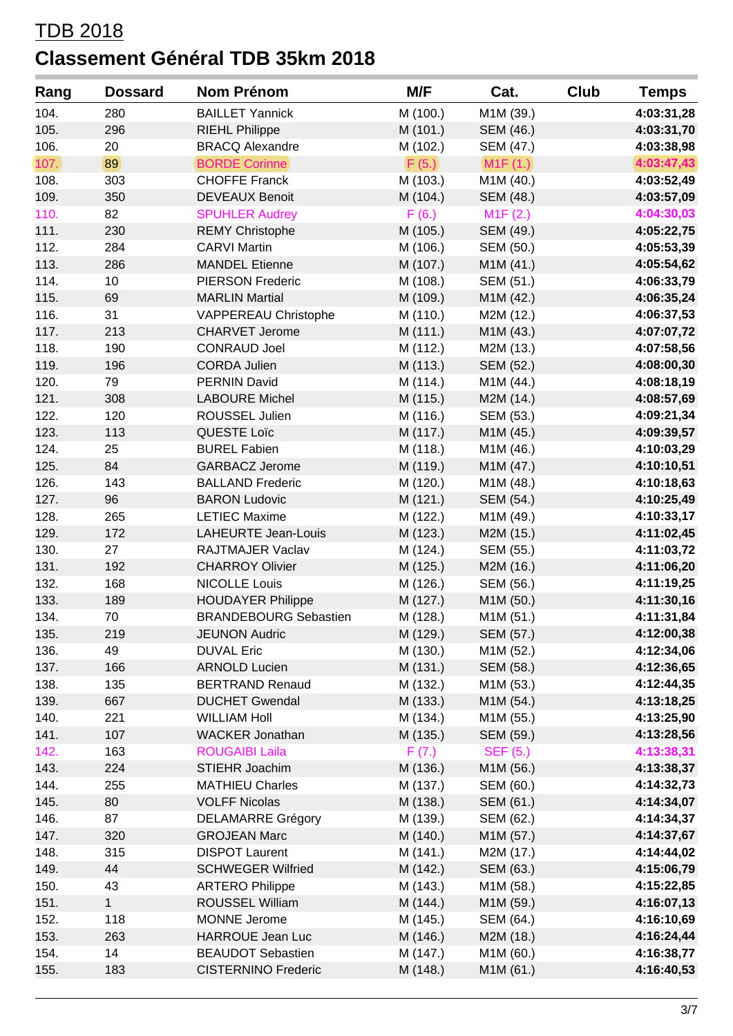| Rang         | <b>Dossard</b> | Nom Prénom                   | M/F      | Cat.            | Club | <b>Temps</b> |
|--------------|----------------|------------------------------|----------|-----------------|------|--------------|
| 104.         | 280            | <b>BAILLET Yannick</b>       | M (100.) | M1M (39.)       |      | 4:03:31,28   |
| 105.         | 296            | <b>RIEHL Philippe</b>        | M (101.) | SEM (46.)       |      | 4:03:31,70   |
| 106.         | 20             | <b>BRACQ Alexandre</b>       | M (102.) | SEM (47.)       |      | 4:03:38,98   |
| 107.         | 89             | <b>BORDE Corinne</b>         | F(5.)    | M1F(1.)         |      | 4:03:47,43   |
| 108.         | 303            | <b>CHOFFE Franck</b>         | M (103.) | M1M (40.)       |      | 4:03:52,49   |
| 109.         | 350            | <b>DEVEAUX Benoit</b>        | M (104.) | SEM (48.)       |      | 4:03:57,09   |
| 110.         | 82             | <b>SPUHLER Audrey</b>        | F(6.)    | M1F(2.)         |      | 4:04:30,03   |
| 111.         | 230            | <b>REMY Christophe</b>       | M (105.) | SEM (49.)       |      | 4:05:22,75   |
| 112.         | 284            | <b>CARVI Martin</b>          | M (106.) | SEM (50.)       |      | 4:05:53,39   |
| 113.         | 286            | <b>MANDEL Etienne</b>        | M (107.) | M1M (41.)       |      | 4:05:54,62   |
| 114.         | 10             | <b>PIERSON Frederic</b>      | M (108.) | SEM (51.)       |      | 4:06:33,79   |
| 115.         | 69             | <b>MARLIN Martial</b>        | M (109.) | M1M (42.)       |      | 4:06:35,24   |
| 116.         | 31             | VAPPEREAU Christophe         | M (110.) | M2M (12.)       |      | 4:06:37,53   |
| 117.         | 213            | <b>CHARVET Jerome</b>        | M (111.) | M1M (43.)       |      | 4:07:07,72   |
| 118.         | 190            | <b>CONRAUD Joel</b>          | M (112.) | M2M (13.)       |      | 4:07:58,56   |
| 119.         | 196            | <b>CORDA Julien</b>          | M (113.) | SEM (52.)       |      | 4:08:00,30   |
| 120.         | 79             | <b>PERNIN David</b>          | M (114.) | M1M (44.)       |      | 4:08:18,19   |
| 121.         | 308            | <b>LABOURE Michel</b>        | M (115.) | M2M (14.)       |      | 4:08:57,69   |
| 122.         | 120            | ROUSSEL Julien               | M (116.) | SEM (53.)       |      | 4:09:21,34   |
| 123.         | 113            | QUESTE Loïc                  | M (117.) | M1M (45.)       |      | 4:09:39,57   |
| 124.         | 25             | <b>BUREL Fabien</b>          | M (118.) | M1M (46.)       |      | 4:10:03,29   |
| 125.         | 84             | <b>GARBACZ Jerome</b>        | M (119.) | M1M (47.)       |      | 4:10:10,51   |
| 126.         | 143            | <b>BALLAND Frederic</b>      | M (120.) | M1M (48.)       |      | 4:10:18,63   |
| 127.         | 96             | <b>BARON Ludovic</b>         | M (121.) | SEM (54.)       |      | 4:10:25,49   |
| 128.         | 265            | <b>LETIEC Maxime</b>         | M (122.) | M1M (49.)       |      | 4:10:33,17   |
| 129.         | 172            | LAHEURTE Jean-Louis          | M (123.) | M2M (15.)       |      | 4:11:02,45   |
| 130.         | 27             | RAJTMAJER Vaclav             | M (124.) | SEM (55.)       |      | 4:11:03,72   |
| 131.         | 192            | <b>CHARROY Olivier</b>       | M (125.) | M2M (16.)       |      | 4:11:06,20   |
| 132.         | 168            | <b>NICOLLE Louis</b>         | M (126.) | SEM (56.)       |      | 4:11:19,25   |
| 133.         | 189            | <b>HOUDAYER Philippe</b>     | M (127.) | M1M (50.)       |      | 4:11:30,16   |
| 134.         | 70             | <b>BRANDEBOURG Sebastien</b> | M (128.) | M1M (51.)       |      | 4:11:31,84   |
| 135.         | 219            | <b>JEUNON Audric</b>         | M (129.) | SEM (57.)       |      | 4:12:00,38   |
| 136.         | 49             | <b>DUVAL Eric</b>            | M (130.) | M1M (52.)       |      | 4:12:34,06   |
| 137.         | 166            | <b>ARNOLD Lucien</b>         | M (131.) | SEM (58.)       |      | 4:12:36,65   |
| 138.         | 135            | <b>BERTRAND Renaud</b>       | M (132.) | M1M (53.)       |      | 4:12:44,35   |
| 139.         | 667            | <b>DUCHET Gwendal</b>        | M (133.) | M1M (54.)       |      | 4:13:18,25   |
| 140.         | 221            | <b>WILLIAM Holl</b>          | M (134.) | M1M (55.)       |      | 4:13:25,90   |
| 141.         | 107            | <b>WACKER Jonathan</b>       | M (135.) | SEM (59.)       |      | 4:13:28,56   |
| 142.         | 163            | <b>ROUGAIBI Laila</b>        | F(7.)    | <b>SEF (5.)</b> |      | 4:13:38,31   |
| 143.         | 224            | STIEHR Joachim               | M (136.) | M1M (56.)       |      | 4:13:38,37   |
| 144.         | 255            | <b>MATHIEU Charles</b>       |          | SEM (60.)       |      | 4:14:32,73   |
| 145.         |                | <b>VOLFF Nicolas</b>         | M (137.) |                 |      |              |
|              | 80<br>87       |                              | M (138.) | SEM (61.)       |      | 4:14:34,07   |
| 146.         |                | <b>DELAMARRE Grégory</b>     | M (139.) | SEM (62.)       |      | 4:14:34,37   |
| 147.<br>148. | 320            | <b>GROJEAN Marc</b>          | M (140.) | M1M (57.)       |      | 4:14:37,67   |
|              | 315            | <b>DISPOT Laurent</b>        | M (141.) | M2M (17.)       |      | 4:14:44,02   |
| 149.         | 44             | <b>SCHWEGER Wilfried</b>     | M (142.) | SEM (63.)       |      | 4:15:06,79   |
| 150.         | 43             | <b>ARTERO Philippe</b>       | M (143.) | M1M (58.)       |      | 4:15:22,85   |
| 151.         | $\mathbf{1}$   | ROUSSEL William              | M (144.) | M1M (59.)       |      | 4:16:07,13   |
| 152.         | 118            | MONNE Jerome                 | M (145.) | SEM (64.)       |      | 4:16:10,69   |
| 153.         | 263            | HARROUE Jean Luc             | M (146.) | M2M (18.)       |      | 4:16:24,44   |
| 154.         | 14             | <b>BEAUDOT Sebastien</b>     | M (147.) | M1M (60.)       |      | 4:16:38,77   |
| 155.         | 183            | <b>CISTERNINO Frederic</b>   | M (148.) | M1M (61.)       |      | 4:16:40,53   |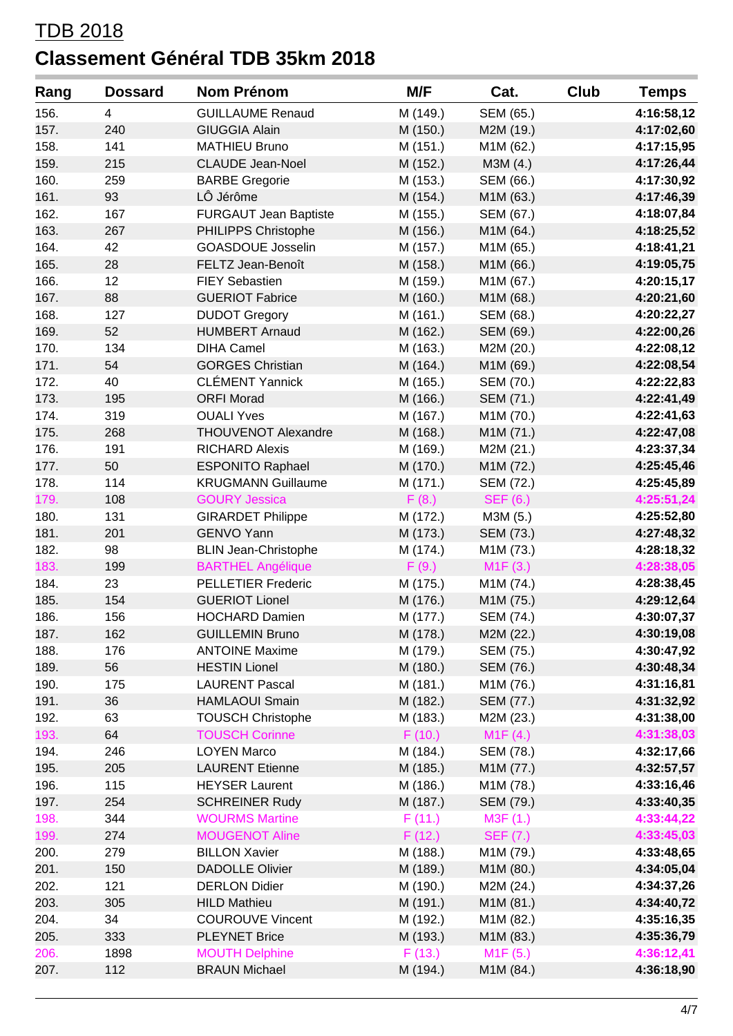| Rang | <b>Dossard</b> | Nom Prénom                   | M/F                  | Cat.            | <b>Club</b> | <b>Temps</b> |
|------|----------------|------------------------------|----------------------|-----------------|-------------|--------------|
| 156. | 4              | <b>GUILLAUME Renaud</b>      | M (149.)             | SEM (65.)       |             | 4:16:58,12   |
| 157. | 240            | <b>GIUGGIA Alain</b>         | M (150.)             | M2M (19.)       |             | 4:17:02,60   |
| 158. | 141            | <b>MATHIEU Bruno</b>         | M (151.)             | M1M (62.)       |             | 4:17:15,95   |
| 159. | 215            | <b>CLAUDE Jean-Noel</b>      | M (152.)             | M3M (4.)        |             | 4:17:26,44   |
| 160. | 259            | <b>BARBE Gregorie</b>        | M (153.)             | SEM (66.)       |             | 4:17:30,92   |
| 161. | 93             | LÔ Jérôme                    | M (154.)             | M1M (63.)       |             | 4:17:46,39   |
| 162. | 167            | <b>FURGAUT Jean Baptiste</b> | M (155.)             | SEM (67.)       |             | 4:18:07,84   |
| 163. | 267            | PHILIPPS Christophe          | M (156.)             | M1M (64.)       |             | 4:18:25,52   |
| 164. | 42             | <b>GOASDOUE Josselin</b>     | M (157.)             | M1M (65.)       |             | 4:18:41,21   |
| 165. | 28             | FELTZ Jean-Benoît            | M (158.)             | M1M (66.)       |             | 4:19:05,75   |
| 166. | 12             | <b>FIEY Sebastien</b>        | M (159.)             | M1M (67.)       |             | 4:20:15,17   |
| 167. | 88             | <b>GUERIOT Fabrice</b>       | M (160.)             | M1M (68.)       |             | 4:20:21,60   |
| 168. | 127            | <b>DUDOT Gregory</b>         | M (161.)             | SEM (68.)       |             | 4:20:22,27   |
| 169. | 52             | <b>HUMBERT Arnaud</b>        | M (162.)             | SEM (69.)       |             | 4:22:00,26   |
| 170. | 134            | <b>DIHA Camel</b>            | M (163.)             | M2M (20.)       |             | 4:22:08,12   |
| 171. | 54             | <b>GORGES Christian</b>      | M (164.)             | M1M (69.)       |             | 4:22:08,54   |
| 172. | 40             | <b>CLÉMENT Yannick</b>       | M (165.)             | SEM (70.)       |             | 4:22:22,83   |
| 173. | 195            | <b>ORFI Morad</b>            | M (166.)             | SEM (71.)       |             | 4:22:41,49   |
| 174. | 319            | <b>OUALI Yves</b>            | M (167.)             | M1M (70.)       |             | 4:22:41,63   |
| 175. | 268            | THOUVENOT Alexandre          | M (168.)             | M1M (71.)       |             | 4:22:47,08   |
| 176. | 191            | <b>RICHARD Alexis</b>        | M (169.)             | M2M (21.)       |             | 4:23:37,34   |
| 177. | 50             | <b>ESPONITO Raphael</b>      | M (170.)             | M1M (72.)       |             | 4:25:45,46   |
| 178. | 114            | <b>KRUGMANN Guillaume</b>    | M (171.)             | SEM (72.)       |             | 4:25:45,89   |
| 179. | 108            | <b>GOURY Jessica</b>         | F(8.)                | <b>SEF (6.)</b> |             | 4:25:51,24   |
| 180. | 131            | <b>GIRARDET Philippe</b>     | M (172.)             | M3M (5.)        |             | 4:25:52,80   |
| 181. | 201            | <b>GENVO Yann</b>            | M (173.)             | SEM (73.)       |             | 4:27:48,32   |
| 182. | 98             | <b>BLIN Jean-Christophe</b>  | M (174.)             | M1M (73.)       |             | 4:28:18,32   |
| 183. | 199            | <b>BARTHEL Angélique</b>     | F(9.)                | M1F(3.)         |             | 4:28:38,05   |
| 184. | 23             | <b>PELLETIER Frederic</b>    | M (175.)             | M1M (74.)       |             | 4:28:38,45   |
| 185. | 154            | <b>GUERIOT Lionel</b>        | M (176.)             | M1M (75.)       |             | 4:29:12,64   |
| 186. | 156            | <b>HOCHARD Damien</b>        | M (177.)             | SEM (74.)       |             | 4:30:07,37   |
| 187. | 162            | <b>GUILLEMIN Bruno</b>       | M (178.)             | M2M (22.)       |             | 4:30:19,08   |
| 188. | 176            | <b>ANTOINE Maxime</b>        | M (179.)             | SEM (75.)       |             | 4:30:47,92   |
| 189. | 56             | <b>HESTIN Lionel</b>         | M (180.)             | SEM (76.)       |             | 4:30:48,34   |
| 190. | 175            | <b>LAURENT Pascal</b>        | M (181.)             | M1M (76.)       |             | 4:31:16,81   |
| 191. | 36             | <b>HAMLAOUI Smain</b>        |                      | SEM (77.)       |             | 4:31:32,92   |
| 192. | 63             | <b>TOUSCH Christophe</b>     | M (182.)<br>M (183.) | M2M (23.)       |             | 4:31:38,00   |
| 193. | 64             | <b>TOUSCH Corinne</b>        | F(10.)               | M1F(4.)         |             | 4:31:38,03   |
| 194. | 246            | <b>LOYEN Marco</b>           | M (184.)             | SEM (78.)       |             |              |
| 195. | 205            | <b>LAURENT Etienne</b>       |                      | M1M (77.)       |             | 4:32:17,66   |
|      |                |                              | M (185.)             |                 |             | 4:32:57,57   |
| 196. | 115            | <b>HEYSER Laurent</b>        | M (186.)             | M1M (78.)       |             | 4:33:16,46   |
| 197. | 254            | <b>SCHREINER Rudy</b>        | M (187.)             | SEM (79.)       |             | 4:33:40,35   |
| 198. | 344            | <b>WOURMS Martine</b>        | F(11.)               | M3F (1.)        |             | 4:33:44,22   |
| 199. | 274            | <b>MOUGENOT Aline</b>        | F(12.)               | <b>SEF (7.)</b> |             | 4:33:45,03   |
| 200. | 279            | <b>BILLON Xavier</b>         | M (188.)             | M1M (79.)       |             | 4:33:48,65   |
| 201. | 150            | <b>DADOLLE Olivier</b>       | M (189.)             | M1M (80.)       |             | 4:34:05,04   |
| 202. | 121            | <b>DERLON Didier</b>         | M (190.)             | M2M (24.)       |             | 4:34:37,26   |
| 203. | 305            | <b>HILD Mathieu</b>          | M (191.)             | M1M (81.)       |             | 4:34:40,72   |
| 204. | 34             | <b>COUROUVE Vincent</b>      | M (192.)             | M1M (82.)       |             | 4:35:16,35   |
| 205. | 333            | <b>PLEYNET Brice</b>         | M (193.)             | M1M (83.)       |             | 4:35:36,79   |
| 206. | 1898           | <b>MOUTH Delphine</b>        | F(13.)               | M1F(5.)         |             | 4:36:12,41   |
| 207. | 112            | <b>BRAUN Michael</b>         | M (194.)             | M1M (84.)       |             | 4:36:18,90   |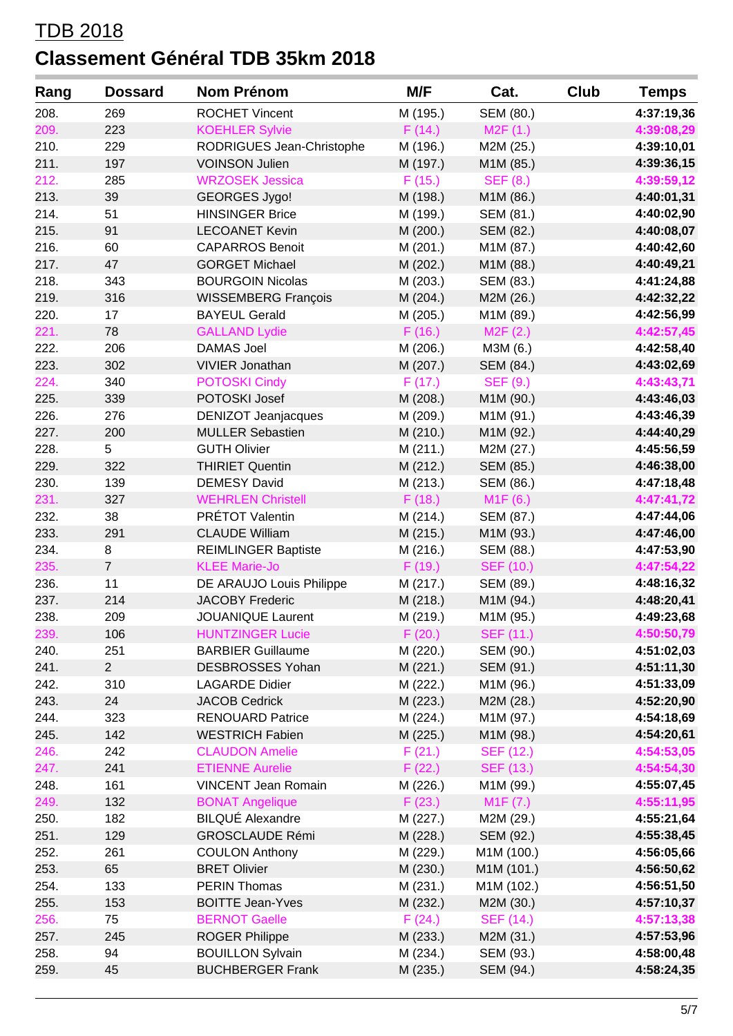| 208.<br>269<br><b>ROCHET Vincent</b><br>M (195.)<br>SEM (80.)<br>M2F(1.)<br>223<br><b>KOEHLER Sylvie</b><br>F(14.)<br>209.<br>210.<br>229<br>RODRIGUES Jean-Christophe<br>M (196.)<br>M2M (25.)<br>211.<br>197<br><b>VOINSON Julien</b><br>M (197.)<br>M1M (85.)<br>212.<br>F(15.)<br>285<br><b>WRZOSEK Jessica</b><br><b>SEF (8.)</b><br>213.<br>39<br><b>GEORGES Jygo!</b><br>M1M (86.)<br>M (198.)<br>214.<br>51<br><b>HINSINGER Brice</b><br>SEM (81.)<br>M (199.)<br>91<br>215.<br><b>LECOANET Kevin</b><br>M (200.)<br>SEM (82.)<br>216.<br>60<br><b>CAPARROS Benoit</b><br>M (201.)<br>M1M (87.)<br>217.<br>47<br><b>GORGET Michael</b><br>M (202.)<br>M1M (88.)<br>218.<br>343<br><b>BOURGOIN Nicolas</b><br>M (203.)<br>SEM (83.)<br>316<br>219.<br><b>WISSEMBERG François</b><br>M (204.)<br>M2M (26.)<br>220.<br>17<br><b>BAYEUL Gerald</b><br>M (205.)<br>M1M (89.)<br>221.<br><b>GALLAND Lydie</b><br>F(16.)<br>M2F(2.)<br>78<br>206<br>222.<br><b>DAMAS Joel</b><br>M (206.)<br>M3M (6.)<br>302<br>223.<br><b>VIVIER Jonathan</b><br>M (207.)<br>SEM (84.)<br>340<br>4:43:43,71<br>224.<br><b>POTOSKI Cindy</b><br>F(17.)<br><b>SEF (9.)</b><br>POTOSKI Josef<br>225.<br>339<br>M1M (90.)<br>M (208.)<br>226.<br>276<br><b>DENIZOT Jeanjacques</b><br>M (209.)<br>M1M (91.)<br>227.<br>200<br><b>MULLER Sebastien</b><br>M (210.)<br>M1M (92.)<br>228.<br><b>GUTH Olivier</b><br>M2M (27.)<br>5<br>M(211.)<br>229.<br>322<br><b>THIRIET Quentin</b><br>M (212.)<br>SEM (85.)<br>139<br>230.<br><b>DEMESY David</b><br>SEM (86.)<br>M (213.)<br>327<br>231.<br><b>WEHRLEN Christell</b><br>F(18.)<br>M1F(6.)<br>PRÉTOT Valentin<br>38<br>232.<br>SEM (87.)<br>M (214.)<br>233.<br>291<br><b>CLAUDE William</b><br>M (215.)<br>M1M (93.)<br>234.<br>8<br><b>REIMLINGER Baptiste</b><br>M (216.)<br>SEM (88.)<br>235.<br>$\overline{7}$<br><b>KLEE Marie-Jo</b><br>F(19.)<br><b>SEF (10.)</b><br>236.<br>11<br>DE ARAUJO Louis Philippe<br>M (217.)<br>SEM (89.)<br>237.<br>214<br><b>JACOBY Frederic</b><br>M1M (94.)<br>M (218.)<br>238.<br>209<br><b>JOUANIQUE Laurent</b><br>M (219.)<br>M1M (95.)<br>106<br><b>SEF (11.)</b><br><b>HUNTZINGER Lucie</b><br>F(20.)<br>239.<br>251<br>240.<br><b>BARBIER Guillaume</b><br>M (220.)<br>SEM (90.)<br>$\overline{2}$<br>241.<br>DESBROSSES Yohan<br>M (221.)<br>SEM (91.)<br>242.<br>310<br><b>LAGARDE Didier</b><br>M (222.)<br>M1M (96.)<br>243.<br>24<br><b>JACOB Cedrick</b><br>M2M (28.)<br>M (223.)<br>244.<br>323<br><b>RENOUARD Patrice</b><br>M (224.)<br>M1M (97.)<br>142<br>245.<br>M (225.)<br><b>WESTRICH Fabien</b><br>M1M (98.)<br>242<br><b>CLAUDON Amelie</b><br>246.<br>F(21.)<br><b>SEF (12.)</b><br>247.<br>241<br><b>ETIENNE Aurelie</b><br>F(22.)<br><b>SEF (13.)</b><br>248.<br>161<br><b>VINCENT Jean Romain</b><br>M (226.)<br>M1M (99.)<br>132<br><b>BONAT Angelique</b><br>F(23.)<br>M1F (7.)<br>249.<br><b>BILQUÉ Alexandre</b><br>182<br>M (227.)<br>M2M (29.)<br>250.<br>251.<br>129<br><b>GROSCLAUDE Rémi</b><br>SEM (92.)<br>M (228.)<br>252.<br>261<br><b>COULON Anthony</b><br>M1M (100.)<br>M (229.)<br>253.<br>65<br><b>BRET Olivier</b><br>M (230.)<br>M1M (101.)<br>254.<br>133<br><b>PERIN Thomas</b><br>M1M (102.)<br>M (231.)<br>255.<br>153<br><b>BOITTE Jean-Yves</b><br>M2M (30.)<br>M (232.)<br><b>BERNOT Gaelle</b><br><b>SEF (14.)</b><br>256.<br>75<br>F(24.)<br>257.<br>245<br><b>ROGER Philippe</b><br>M (233.)<br>M2M (31.)<br>258.<br>94<br><b>BOUILLON Sylvain</b><br>SEM (93.)<br>M (234.)<br>259.<br>45<br><b>BUCHBERGER Frank</b><br>M (235.)<br>SEM (94.) | Rang | <b>Dossard</b> | Nom Prénom | M/F | Cat. | Club | <b>Temps</b> |
|-------------------------------------------------------------------------------------------------------------------------------------------------------------------------------------------------------------------------------------------------------------------------------------------------------------------------------------------------------------------------------------------------------------------------------------------------------------------------------------------------------------------------------------------------------------------------------------------------------------------------------------------------------------------------------------------------------------------------------------------------------------------------------------------------------------------------------------------------------------------------------------------------------------------------------------------------------------------------------------------------------------------------------------------------------------------------------------------------------------------------------------------------------------------------------------------------------------------------------------------------------------------------------------------------------------------------------------------------------------------------------------------------------------------------------------------------------------------------------------------------------------------------------------------------------------------------------------------------------------------------------------------------------------------------------------------------------------------------------------------------------------------------------------------------------------------------------------------------------------------------------------------------------------------------------------------------------------------------------------------------------------------------------------------------------------------------------------------------------------------------------------------------------------------------------------------------------------------------------------------------------------------------------------------------------------------------------------------------------------------------------------------------------------------------------------------------------------------------------------------------------------------------------------------------------------------------------------------------------------------------------------------------------------------------------------------------------------------------------------------------------------------------------------------------------------------------------------------------------------------------------------------------------------------------------------------------------------------------------------------------------------------------------------------------------------------------------------------------------------------------------------------------------------------------------------------------------------------------------------------------------------------------------------------------------------------------------------------------------------------------------------------------------------------------------------------------------------------------------------------------------------------------------------------------------------------------------|------|----------------|------------|-----|------|------|--------------|
|                                                                                                                                                                                                                                                                                                                                                                                                                                                                                                                                                                                                                                                                                                                                                                                                                                                                                                                                                                                                                                                                                                                                                                                                                                                                                                                                                                                                                                                                                                                                                                                                                                                                                                                                                                                                                                                                                                                                                                                                                                                                                                                                                                                                                                                                                                                                                                                                                                                                                                                                                                                                                                                                                                                                                                                                                                                                                                                                                                                                                                                                                                                                                                                                                                                                                                                                                                                                                                                                                                                                                                               |      |                |            |     |      |      | 4:37:19,36   |
|                                                                                                                                                                                                                                                                                                                                                                                                                                                                                                                                                                                                                                                                                                                                                                                                                                                                                                                                                                                                                                                                                                                                                                                                                                                                                                                                                                                                                                                                                                                                                                                                                                                                                                                                                                                                                                                                                                                                                                                                                                                                                                                                                                                                                                                                                                                                                                                                                                                                                                                                                                                                                                                                                                                                                                                                                                                                                                                                                                                                                                                                                                                                                                                                                                                                                                                                                                                                                                                                                                                                                                               |      |                |            |     |      |      | 4:39:08,29   |
|                                                                                                                                                                                                                                                                                                                                                                                                                                                                                                                                                                                                                                                                                                                                                                                                                                                                                                                                                                                                                                                                                                                                                                                                                                                                                                                                                                                                                                                                                                                                                                                                                                                                                                                                                                                                                                                                                                                                                                                                                                                                                                                                                                                                                                                                                                                                                                                                                                                                                                                                                                                                                                                                                                                                                                                                                                                                                                                                                                                                                                                                                                                                                                                                                                                                                                                                                                                                                                                                                                                                                                               |      |                |            |     |      |      | 4:39:10,01   |
|                                                                                                                                                                                                                                                                                                                                                                                                                                                                                                                                                                                                                                                                                                                                                                                                                                                                                                                                                                                                                                                                                                                                                                                                                                                                                                                                                                                                                                                                                                                                                                                                                                                                                                                                                                                                                                                                                                                                                                                                                                                                                                                                                                                                                                                                                                                                                                                                                                                                                                                                                                                                                                                                                                                                                                                                                                                                                                                                                                                                                                                                                                                                                                                                                                                                                                                                                                                                                                                                                                                                                                               |      |                |            |     |      |      | 4:39:36,15   |
|                                                                                                                                                                                                                                                                                                                                                                                                                                                                                                                                                                                                                                                                                                                                                                                                                                                                                                                                                                                                                                                                                                                                                                                                                                                                                                                                                                                                                                                                                                                                                                                                                                                                                                                                                                                                                                                                                                                                                                                                                                                                                                                                                                                                                                                                                                                                                                                                                                                                                                                                                                                                                                                                                                                                                                                                                                                                                                                                                                                                                                                                                                                                                                                                                                                                                                                                                                                                                                                                                                                                                                               |      |                |            |     |      |      | 4:39:59,12   |
|                                                                                                                                                                                                                                                                                                                                                                                                                                                                                                                                                                                                                                                                                                                                                                                                                                                                                                                                                                                                                                                                                                                                                                                                                                                                                                                                                                                                                                                                                                                                                                                                                                                                                                                                                                                                                                                                                                                                                                                                                                                                                                                                                                                                                                                                                                                                                                                                                                                                                                                                                                                                                                                                                                                                                                                                                                                                                                                                                                                                                                                                                                                                                                                                                                                                                                                                                                                                                                                                                                                                                                               |      |                |            |     |      |      | 4:40:01,31   |
|                                                                                                                                                                                                                                                                                                                                                                                                                                                                                                                                                                                                                                                                                                                                                                                                                                                                                                                                                                                                                                                                                                                                                                                                                                                                                                                                                                                                                                                                                                                                                                                                                                                                                                                                                                                                                                                                                                                                                                                                                                                                                                                                                                                                                                                                                                                                                                                                                                                                                                                                                                                                                                                                                                                                                                                                                                                                                                                                                                                                                                                                                                                                                                                                                                                                                                                                                                                                                                                                                                                                                                               |      |                |            |     |      |      | 4:40:02,90   |
|                                                                                                                                                                                                                                                                                                                                                                                                                                                                                                                                                                                                                                                                                                                                                                                                                                                                                                                                                                                                                                                                                                                                                                                                                                                                                                                                                                                                                                                                                                                                                                                                                                                                                                                                                                                                                                                                                                                                                                                                                                                                                                                                                                                                                                                                                                                                                                                                                                                                                                                                                                                                                                                                                                                                                                                                                                                                                                                                                                                                                                                                                                                                                                                                                                                                                                                                                                                                                                                                                                                                                                               |      |                |            |     |      |      | 4:40:08,07   |
|                                                                                                                                                                                                                                                                                                                                                                                                                                                                                                                                                                                                                                                                                                                                                                                                                                                                                                                                                                                                                                                                                                                                                                                                                                                                                                                                                                                                                                                                                                                                                                                                                                                                                                                                                                                                                                                                                                                                                                                                                                                                                                                                                                                                                                                                                                                                                                                                                                                                                                                                                                                                                                                                                                                                                                                                                                                                                                                                                                                                                                                                                                                                                                                                                                                                                                                                                                                                                                                                                                                                                                               |      |                |            |     |      |      | 4:40:42,60   |
|                                                                                                                                                                                                                                                                                                                                                                                                                                                                                                                                                                                                                                                                                                                                                                                                                                                                                                                                                                                                                                                                                                                                                                                                                                                                                                                                                                                                                                                                                                                                                                                                                                                                                                                                                                                                                                                                                                                                                                                                                                                                                                                                                                                                                                                                                                                                                                                                                                                                                                                                                                                                                                                                                                                                                                                                                                                                                                                                                                                                                                                                                                                                                                                                                                                                                                                                                                                                                                                                                                                                                                               |      |                |            |     |      |      | 4:40:49,21   |
|                                                                                                                                                                                                                                                                                                                                                                                                                                                                                                                                                                                                                                                                                                                                                                                                                                                                                                                                                                                                                                                                                                                                                                                                                                                                                                                                                                                                                                                                                                                                                                                                                                                                                                                                                                                                                                                                                                                                                                                                                                                                                                                                                                                                                                                                                                                                                                                                                                                                                                                                                                                                                                                                                                                                                                                                                                                                                                                                                                                                                                                                                                                                                                                                                                                                                                                                                                                                                                                                                                                                                                               |      |                |            |     |      |      | 4:41:24,88   |
|                                                                                                                                                                                                                                                                                                                                                                                                                                                                                                                                                                                                                                                                                                                                                                                                                                                                                                                                                                                                                                                                                                                                                                                                                                                                                                                                                                                                                                                                                                                                                                                                                                                                                                                                                                                                                                                                                                                                                                                                                                                                                                                                                                                                                                                                                                                                                                                                                                                                                                                                                                                                                                                                                                                                                                                                                                                                                                                                                                                                                                                                                                                                                                                                                                                                                                                                                                                                                                                                                                                                                                               |      |                |            |     |      |      | 4:42:32,22   |
|                                                                                                                                                                                                                                                                                                                                                                                                                                                                                                                                                                                                                                                                                                                                                                                                                                                                                                                                                                                                                                                                                                                                                                                                                                                                                                                                                                                                                                                                                                                                                                                                                                                                                                                                                                                                                                                                                                                                                                                                                                                                                                                                                                                                                                                                                                                                                                                                                                                                                                                                                                                                                                                                                                                                                                                                                                                                                                                                                                                                                                                                                                                                                                                                                                                                                                                                                                                                                                                                                                                                                                               |      |                |            |     |      |      | 4:42:56,99   |
|                                                                                                                                                                                                                                                                                                                                                                                                                                                                                                                                                                                                                                                                                                                                                                                                                                                                                                                                                                                                                                                                                                                                                                                                                                                                                                                                                                                                                                                                                                                                                                                                                                                                                                                                                                                                                                                                                                                                                                                                                                                                                                                                                                                                                                                                                                                                                                                                                                                                                                                                                                                                                                                                                                                                                                                                                                                                                                                                                                                                                                                                                                                                                                                                                                                                                                                                                                                                                                                                                                                                                                               |      |                |            |     |      |      | 4:42:57,45   |
|                                                                                                                                                                                                                                                                                                                                                                                                                                                                                                                                                                                                                                                                                                                                                                                                                                                                                                                                                                                                                                                                                                                                                                                                                                                                                                                                                                                                                                                                                                                                                                                                                                                                                                                                                                                                                                                                                                                                                                                                                                                                                                                                                                                                                                                                                                                                                                                                                                                                                                                                                                                                                                                                                                                                                                                                                                                                                                                                                                                                                                                                                                                                                                                                                                                                                                                                                                                                                                                                                                                                                                               |      |                |            |     |      |      | 4:42:58,40   |
|                                                                                                                                                                                                                                                                                                                                                                                                                                                                                                                                                                                                                                                                                                                                                                                                                                                                                                                                                                                                                                                                                                                                                                                                                                                                                                                                                                                                                                                                                                                                                                                                                                                                                                                                                                                                                                                                                                                                                                                                                                                                                                                                                                                                                                                                                                                                                                                                                                                                                                                                                                                                                                                                                                                                                                                                                                                                                                                                                                                                                                                                                                                                                                                                                                                                                                                                                                                                                                                                                                                                                                               |      |                |            |     |      |      | 4:43:02,69   |
|                                                                                                                                                                                                                                                                                                                                                                                                                                                                                                                                                                                                                                                                                                                                                                                                                                                                                                                                                                                                                                                                                                                                                                                                                                                                                                                                                                                                                                                                                                                                                                                                                                                                                                                                                                                                                                                                                                                                                                                                                                                                                                                                                                                                                                                                                                                                                                                                                                                                                                                                                                                                                                                                                                                                                                                                                                                                                                                                                                                                                                                                                                                                                                                                                                                                                                                                                                                                                                                                                                                                                                               |      |                |            |     |      |      |              |
|                                                                                                                                                                                                                                                                                                                                                                                                                                                                                                                                                                                                                                                                                                                                                                                                                                                                                                                                                                                                                                                                                                                                                                                                                                                                                                                                                                                                                                                                                                                                                                                                                                                                                                                                                                                                                                                                                                                                                                                                                                                                                                                                                                                                                                                                                                                                                                                                                                                                                                                                                                                                                                                                                                                                                                                                                                                                                                                                                                                                                                                                                                                                                                                                                                                                                                                                                                                                                                                                                                                                                                               |      |                |            |     |      |      | 4:43:46,03   |
|                                                                                                                                                                                                                                                                                                                                                                                                                                                                                                                                                                                                                                                                                                                                                                                                                                                                                                                                                                                                                                                                                                                                                                                                                                                                                                                                                                                                                                                                                                                                                                                                                                                                                                                                                                                                                                                                                                                                                                                                                                                                                                                                                                                                                                                                                                                                                                                                                                                                                                                                                                                                                                                                                                                                                                                                                                                                                                                                                                                                                                                                                                                                                                                                                                                                                                                                                                                                                                                                                                                                                                               |      |                |            |     |      |      | 4:43:46,39   |
|                                                                                                                                                                                                                                                                                                                                                                                                                                                                                                                                                                                                                                                                                                                                                                                                                                                                                                                                                                                                                                                                                                                                                                                                                                                                                                                                                                                                                                                                                                                                                                                                                                                                                                                                                                                                                                                                                                                                                                                                                                                                                                                                                                                                                                                                                                                                                                                                                                                                                                                                                                                                                                                                                                                                                                                                                                                                                                                                                                                                                                                                                                                                                                                                                                                                                                                                                                                                                                                                                                                                                                               |      |                |            |     |      |      | 4:44:40,29   |
|                                                                                                                                                                                                                                                                                                                                                                                                                                                                                                                                                                                                                                                                                                                                                                                                                                                                                                                                                                                                                                                                                                                                                                                                                                                                                                                                                                                                                                                                                                                                                                                                                                                                                                                                                                                                                                                                                                                                                                                                                                                                                                                                                                                                                                                                                                                                                                                                                                                                                                                                                                                                                                                                                                                                                                                                                                                                                                                                                                                                                                                                                                                                                                                                                                                                                                                                                                                                                                                                                                                                                                               |      |                |            |     |      |      | 4:45:56,59   |
|                                                                                                                                                                                                                                                                                                                                                                                                                                                                                                                                                                                                                                                                                                                                                                                                                                                                                                                                                                                                                                                                                                                                                                                                                                                                                                                                                                                                                                                                                                                                                                                                                                                                                                                                                                                                                                                                                                                                                                                                                                                                                                                                                                                                                                                                                                                                                                                                                                                                                                                                                                                                                                                                                                                                                                                                                                                                                                                                                                                                                                                                                                                                                                                                                                                                                                                                                                                                                                                                                                                                                                               |      |                |            |     |      |      | 4:46:38,00   |
|                                                                                                                                                                                                                                                                                                                                                                                                                                                                                                                                                                                                                                                                                                                                                                                                                                                                                                                                                                                                                                                                                                                                                                                                                                                                                                                                                                                                                                                                                                                                                                                                                                                                                                                                                                                                                                                                                                                                                                                                                                                                                                                                                                                                                                                                                                                                                                                                                                                                                                                                                                                                                                                                                                                                                                                                                                                                                                                                                                                                                                                                                                                                                                                                                                                                                                                                                                                                                                                                                                                                                                               |      |                |            |     |      |      | 4:47:18,48   |
|                                                                                                                                                                                                                                                                                                                                                                                                                                                                                                                                                                                                                                                                                                                                                                                                                                                                                                                                                                                                                                                                                                                                                                                                                                                                                                                                                                                                                                                                                                                                                                                                                                                                                                                                                                                                                                                                                                                                                                                                                                                                                                                                                                                                                                                                                                                                                                                                                                                                                                                                                                                                                                                                                                                                                                                                                                                                                                                                                                                                                                                                                                                                                                                                                                                                                                                                                                                                                                                                                                                                                                               |      |                |            |     |      |      | 4:47:41,72   |
|                                                                                                                                                                                                                                                                                                                                                                                                                                                                                                                                                                                                                                                                                                                                                                                                                                                                                                                                                                                                                                                                                                                                                                                                                                                                                                                                                                                                                                                                                                                                                                                                                                                                                                                                                                                                                                                                                                                                                                                                                                                                                                                                                                                                                                                                                                                                                                                                                                                                                                                                                                                                                                                                                                                                                                                                                                                                                                                                                                                                                                                                                                                                                                                                                                                                                                                                                                                                                                                                                                                                                                               |      |                |            |     |      |      | 4:47:44,06   |
|                                                                                                                                                                                                                                                                                                                                                                                                                                                                                                                                                                                                                                                                                                                                                                                                                                                                                                                                                                                                                                                                                                                                                                                                                                                                                                                                                                                                                                                                                                                                                                                                                                                                                                                                                                                                                                                                                                                                                                                                                                                                                                                                                                                                                                                                                                                                                                                                                                                                                                                                                                                                                                                                                                                                                                                                                                                                                                                                                                                                                                                                                                                                                                                                                                                                                                                                                                                                                                                                                                                                                                               |      |                |            |     |      |      | 4:47:46,00   |
|                                                                                                                                                                                                                                                                                                                                                                                                                                                                                                                                                                                                                                                                                                                                                                                                                                                                                                                                                                                                                                                                                                                                                                                                                                                                                                                                                                                                                                                                                                                                                                                                                                                                                                                                                                                                                                                                                                                                                                                                                                                                                                                                                                                                                                                                                                                                                                                                                                                                                                                                                                                                                                                                                                                                                                                                                                                                                                                                                                                                                                                                                                                                                                                                                                                                                                                                                                                                                                                                                                                                                                               |      |                |            |     |      |      | 4:47:53,90   |
|                                                                                                                                                                                                                                                                                                                                                                                                                                                                                                                                                                                                                                                                                                                                                                                                                                                                                                                                                                                                                                                                                                                                                                                                                                                                                                                                                                                                                                                                                                                                                                                                                                                                                                                                                                                                                                                                                                                                                                                                                                                                                                                                                                                                                                                                                                                                                                                                                                                                                                                                                                                                                                                                                                                                                                                                                                                                                                                                                                                                                                                                                                                                                                                                                                                                                                                                                                                                                                                                                                                                                                               |      |                |            |     |      |      | 4:47:54,22   |
|                                                                                                                                                                                                                                                                                                                                                                                                                                                                                                                                                                                                                                                                                                                                                                                                                                                                                                                                                                                                                                                                                                                                                                                                                                                                                                                                                                                                                                                                                                                                                                                                                                                                                                                                                                                                                                                                                                                                                                                                                                                                                                                                                                                                                                                                                                                                                                                                                                                                                                                                                                                                                                                                                                                                                                                                                                                                                                                                                                                                                                                                                                                                                                                                                                                                                                                                                                                                                                                                                                                                                                               |      |                |            |     |      |      | 4:48:16,32   |
|                                                                                                                                                                                                                                                                                                                                                                                                                                                                                                                                                                                                                                                                                                                                                                                                                                                                                                                                                                                                                                                                                                                                                                                                                                                                                                                                                                                                                                                                                                                                                                                                                                                                                                                                                                                                                                                                                                                                                                                                                                                                                                                                                                                                                                                                                                                                                                                                                                                                                                                                                                                                                                                                                                                                                                                                                                                                                                                                                                                                                                                                                                                                                                                                                                                                                                                                                                                                                                                                                                                                                                               |      |                |            |     |      |      | 4:48:20,41   |
|                                                                                                                                                                                                                                                                                                                                                                                                                                                                                                                                                                                                                                                                                                                                                                                                                                                                                                                                                                                                                                                                                                                                                                                                                                                                                                                                                                                                                                                                                                                                                                                                                                                                                                                                                                                                                                                                                                                                                                                                                                                                                                                                                                                                                                                                                                                                                                                                                                                                                                                                                                                                                                                                                                                                                                                                                                                                                                                                                                                                                                                                                                                                                                                                                                                                                                                                                                                                                                                                                                                                                                               |      |                |            |     |      |      | 4:49:23,68   |
|                                                                                                                                                                                                                                                                                                                                                                                                                                                                                                                                                                                                                                                                                                                                                                                                                                                                                                                                                                                                                                                                                                                                                                                                                                                                                                                                                                                                                                                                                                                                                                                                                                                                                                                                                                                                                                                                                                                                                                                                                                                                                                                                                                                                                                                                                                                                                                                                                                                                                                                                                                                                                                                                                                                                                                                                                                                                                                                                                                                                                                                                                                                                                                                                                                                                                                                                                                                                                                                                                                                                                                               |      |                |            |     |      |      | 4:50:50,79   |
|                                                                                                                                                                                                                                                                                                                                                                                                                                                                                                                                                                                                                                                                                                                                                                                                                                                                                                                                                                                                                                                                                                                                                                                                                                                                                                                                                                                                                                                                                                                                                                                                                                                                                                                                                                                                                                                                                                                                                                                                                                                                                                                                                                                                                                                                                                                                                                                                                                                                                                                                                                                                                                                                                                                                                                                                                                                                                                                                                                                                                                                                                                                                                                                                                                                                                                                                                                                                                                                                                                                                                                               |      |                |            |     |      |      | 4:51:02,03   |
|                                                                                                                                                                                                                                                                                                                                                                                                                                                                                                                                                                                                                                                                                                                                                                                                                                                                                                                                                                                                                                                                                                                                                                                                                                                                                                                                                                                                                                                                                                                                                                                                                                                                                                                                                                                                                                                                                                                                                                                                                                                                                                                                                                                                                                                                                                                                                                                                                                                                                                                                                                                                                                                                                                                                                                                                                                                                                                                                                                                                                                                                                                                                                                                                                                                                                                                                                                                                                                                                                                                                                                               |      |                |            |     |      |      | 4:51:11,30   |
|                                                                                                                                                                                                                                                                                                                                                                                                                                                                                                                                                                                                                                                                                                                                                                                                                                                                                                                                                                                                                                                                                                                                                                                                                                                                                                                                                                                                                                                                                                                                                                                                                                                                                                                                                                                                                                                                                                                                                                                                                                                                                                                                                                                                                                                                                                                                                                                                                                                                                                                                                                                                                                                                                                                                                                                                                                                                                                                                                                                                                                                                                                                                                                                                                                                                                                                                                                                                                                                                                                                                                                               |      |                |            |     |      |      | 4:51:33,09   |
|                                                                                                                                                                                                                                                                                                                                                                                                                                                                                                                                                                                                                                                                                                                                                                                                                                                                                                                                                                                                                                                                                                                                                                                                                                                                                                                                                                                                                                                                                                                                                                                                                                                                                                                                                                                                                                                                                                                                                                                                                                                                                                                                                                                                                                                                                                                                                                                                                                                                                                                                                                                                                                                                                                                                                                                                                                                                                                                                                                                                                                                                                                                                                                                                                                                                                                                                                                                                                                                                                                                                                                               |      |                |            |     |      |      | 4:52:20,90   |
|                                                                                                                                                                                                                                                                                                                                                                                                                                                                                                                                                                                                                                                                                                                                                                                                                                                                                                                                                                                                                                                                                                                                                                                                                                                                                                                                                                                                                                                                                                                                                                                                                                                                                                                                                                                                                                                                                                                                                                                                                                                                                                                                                                                                                                                                                                                                                                                                                                                                                                                                                                                                                                                                                                                                                                                                                                                                                                                                                                                                                                                                                                                                                                                                                                                                                                                                                                                                                                                                                                                                                                               |      |                |            |     |      |      | 4:54:18,69   |
|                                                                                                                                                                                                                                                                                                                                                                                                                                                                                                                                                                                                                                                                                                                                                                                                                                                                                                                                                                                                                                                                                                                                                                                                                                                                                                                                                                                                                                                                                                                                                                                                                                                                                                                                                                                                                                                                                                                                                                                                                                                                                                                                                                                                                                                                                                                                                                                                                                                                                                                                                                                                                                                                                                                                                                                                                                                                                                                                                                                                                                                                                                                                                                                                                                                                                                                                                                                                                                                                                                                                                                               |      |                |            |     |      |      | 4:54:20,61   |
|                                                                                                                                                                                                                                                                                                                                                                                                                                                                                                                                                                                                                                                                                                                                                                                                                                                                                                                                                                                                                                                                                                                                                                                                                                                                                                                                                                                                                                                                                                                                                                                                                                                                                                                                                                                                                                                                                                                                                                                                                                                                                                                                                                                                                                                                                                                                                                                                                                                                                                                                                                                                                                                                                                                                                                                                                                                                                                                                                                                                                                                                                                                                                                                                                                                                                                                                                                                                                                                                                                                                                                               |      |                |            |     |      |      | 4:54:53,05   |
|                                                                                                                                                                                                                                                                                                                                                                                                                                                                                                                                                                                                                                                                                                                                                                                                                                                                                                                                                                                                                                                                                                                                                                                                                                                                                                                                                                                                                                                                                                                                                                                                                                                                                                                                                                                                                                                                                                                                                                                                                                                                                                                                                                                                                                                                                                                                                                                                                                                                                                                                                                                                                                                                                                                                                                                                                                                                                                                                                                                                                                                                                                                                                                                                                                                                                                                                                                                                                                                                                                                                                                               |      |                |            |     |      |      | 4:54:54,30   |
|                                                                                                                                                                                                                                                                                                                                                                                                                                                                                                                                                                                                                                                                                                                                                                                                                                                                                                                                                                                                                                                                                                                                                                                                                                                                                                                                                                                                                                                                                                                                                                                                                                                                                                                                                                                                                                                                                                                                                                                                                                                                                                                                                                                                                                                                                                                                                                                                                                                                                                                                                                                                                                                                                                                                                                                                                                                                                                                                                                                                                                                                                                                                                                                                                                                                                                                                                                                                                                                                                                                                                                               |      |                |            |     |      |      | 4:55:07,45   |
|                                                                                                                                                                                                                                                                                                                                                                                                                                                                                                                                                                                                                                                                                                                                                                                                                                                                                                                                                                                                                                                                                                                                                                                                                                                                                                                                                                                                                                                                                                                                                                                                                                                                                                                                                                                                                                                                                                                                                                                                                                                                                                                                                                                                                                                                                                                                                                                                                                                                                                                                                                                                                                                                                                                                                                                                                                                                                                                                                                                                                                                                                                                                                                                                                                                                                                                                                                                                                                                                                                                                                                               |      |                |            |     |      |      | 4:55:11,95   |
|                                                                                                                                                                                                                                                                                                                                                                                                                                                                                                                                                                                                                                                                                                                                                                                                                                                                                                                                                                                                                                                                                                                                                                                                                                                                                                                                                                                                                                                                                                                                                                                                                                                                                                                                                                                                                                                                                                                                                                                                                                                                                                                                                                                                                                                                                                                                                                                                                                                                                                                                                                                                                                                                                                                                                                                                                                                                                                                                                                                                                                                                                                                                                                                                                                                                                                                                                                                                                                                                                                                                                                               |      |                |            |     |      |      | 4:55:21,64   |
|                                                                                                                                                                                                                                                                                                                                                                                                                                                                                                                                                                                                                                                                                                                                                                                                                                                                                                                                                                                                                                                                                                                                                                                                                                                                                                                                                                                                                                                                                                                                                                                                                                                                                                                                                                                                                                                                                                                                                                                                                                                                                                                                                                                                                                                                                                                                                                                                                                                                                                                                                                                                                                                                                                                                                                                                                                                                                                                                                                                                                                                                                                                                                                                                                                                                                                                                                                                                                                                                                                                                                                               |      |                |            |     |      |      | 4:55:38,45   |
|                                                                                                                                                                                                                                                                                                                                                                                                                                                                                                                                                                                                                                                                                                                                                                                                                                                                                                                                                                                                                                                                                                                                                                                                                                                                                                                                                                                                                                                                                                                                                                                                                                                                                                                                                                                                                                                                                                                                                                                                                                                                                                                                                                                                                                                                                                                                                                                                                                                                                                                                                                                                                                                                                                                                                                                                                                                                                                                                                                                                                                                                                                                                                                                                                                                                                                                                                                                                                                                                                                                                                                               |      |                |            |     |      |      | 4:56:05,66   |
|                                                                                                                                                                                                                                                                                                                                                                                                                                                                                                                                                                                                                                                                                                                                                                                                                                                                                                                                                                                                                                                                                                                                                                                                                                                                                                                                                                                                                                                                                                                                                                                                                                                                                                                                                                                                                                                                                                                                                                                                                                                                                                                                                                                                                                                                                                                                                                                                                                                                                                                                                                                                                                                                                                                                                                                                                                                                                                                                                                                                                                                                                                                                                                                                                                                                                                                                                                                                                                                                                                                                                                               |      |                |            |     |      |      | 4:56:50,62   |
|                                                                                                                                                                                                                                                                                                                                                                                                                                                                                                                                                                                                                                                                                                                                                                                                                                                                                                                                                                                                                                                                                                                                                                                                                                                                                                                                                                                                                                                                                                                                                                                                                                                                                                                                                                                                                                                                                                                                                                                                                                                                                                                                                                                                                                                                                                                                                                                                                                                                                                                                                                                                                                                                                                                                                                                                                                                                                                                                                                                                                                                                                                                                                                                                                                                                                                                                                                                                                                                                                                                                                                               |      |                |            |     |      |      | 4:56:51,50   |
|                                                                                                                                                                                                                                                                                                                                                                                                                                                                                                                                                                                                                                                                                                                                                                                                                                                                                                                                                                                                                                                                                                                                                                                                                                                                                                                                                                                                                                                                                                                                                                                                                                                                                                                                                                                                                                                                                                                                                                                                                                                                                                                                                                                                                                                                                                                                                                                                                                                                                                                                                                                                                                                                                                                                                                                                                                                                                                                                                                                                                                                                                                                                                                                                                                                                                                                                                                                                                                                                                                                                                                               |      |                |            |     |      |      | 4:57:10,37   |
|                                                                                                                                                                                                                                                                                                                                                                                                                                                                                                                                                                                                                                                                                                                                                                                                                                                                                                                                                                                                                                                                                                                                                                                                                                                                                                                                                                                                                                                                                                                                                                                                                                                                                                                                                                                                                                                                                                                                                                                                                                                                                                                                                                                                                                                                                                                                                                                                                                                                                                                                                                                                                                                                                                                                                                                                                                                                                                                                                                                                                                                                                                                                                                                                                                                                                                                                                                                                                                                                                                                                                                               |      |                |            |     |      |      | 4:57:13,38   |
|                                                                                                                                                                                                                                                                                                                                                                                                                                                                                                                                                                                                                                                                                                                                                                                                                                                                                                                                                                                                                                                                                                                                                                                                                                                                                                                                                                                                                                                                                                                                                                                                                                                                                                                                                                                                                                                                                                                                                                                                                                                                                                                                                                                                                                                                                                                                                                                                                                                                                                                                                                                                                                                                                                                                                                                                                                                                                                                                                                                                                                                                                                                                                                                                                                                                                                                                                                                                                                                                                                                                                                               |      |                |            |     |      |      | 4:57:53,96   |
|                                                                                                                                                                                                                                                                                                                                                                                                                                                                                                                                                                                                                                                                                                                                                                                                                                                                                                                                                                                                                                                                                                                                                                                                                                                                                                                                                                                                                                                                                                                                                                                                                                                                                                                                                                                                                                                                                                                                                                                                                                                                                                                                                                                                                                                                                                                                                                                                                                                                                                                                                                                                                                                                                                                                                                                                                                                                                                                                                                                                                                                                                                                                                                                                                                                                                                                                                                                                                                                                                                                                                                               |      |                |            |     |      |      | 4:58:00,48   |
|                                                                                                                                                                                                                                                                                                                                                                                                                                                                                                                                                                                                                                                                                                                                                                                                                                                                                                                                                                                                                                                                                                                                                                                                                                                                                                                                                                                                                                                                                                                                                                                                                                                                                                                                                                                                                                                                                                                                                                                                                                                                                                                                                                                                                                                                                                                                                                                                                                                                                                                                                                                                                                                                                                                                                                                                                                                                                                                                                                                                                                                                                                                                                                                                                                                                                                                                                                                                                                                                                                                                                                               |      |                |            |     |      |      | 4:58:24,35   |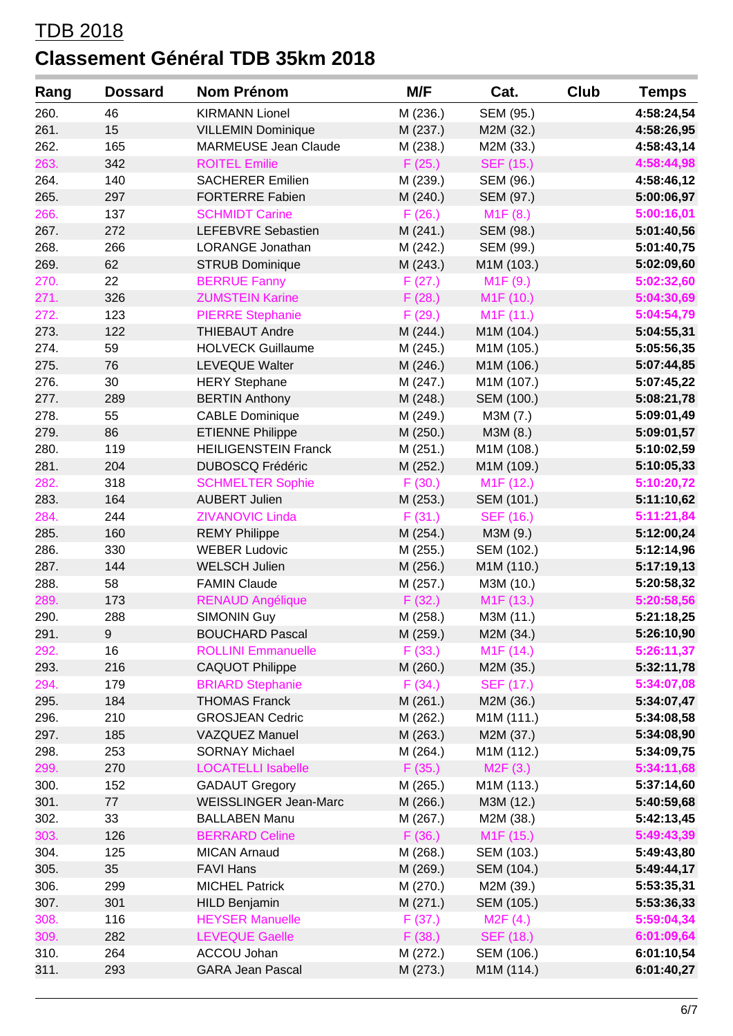| Rang | <b>Dossard</b> | <b>Nom Prénom</b>           | M/F      | Cat.                   | <b>Club</b> | <b>Temps</b> |
|------|----------------|-----------------------------|----------|------------------------|-------------|--------------|
| 260. | 46             | <b>KIRMANN Lionel</b>       | M (236.) | SEM (95.)              |             | 4:58:24,54   |
| 261. | 15             | <b>VILLEMIN Dominique</b>   | M (237.) | M2M (32.)              |             | 4:58:26,95   |
| 262. | 165            | <b>MARMEUSE Jean Claude</b> | M (238.) | M2M (33.)              |             | 4:58:43,14   |
| 263. | 342            | <b>ROITEL Emilie</b>        | F(25.)   | <b>SEF (15.)</b>       |             | 4:58:44,98   |
| 264. | 140            | <b>SACHERER Emilien</b>     | M (239.) | SEM (96.)              |             | 4:58:46,12   |
| 265. | 297            | <b>FORTERRE Fabien</b>      | M (240.) | SEM (97.)              |             | 5:00:06,97   |
| 266. | 137            | <b>SCHMIDT Carine</b>       | F(26.)   | M1F(8.)                |             | 5:00:16,01   |
| 267. | 272            | LEFEBVRE Sebastien          | M(241.)  | SEM (98.)              |             | 5:01:40,56   |
| 268. | 266            | LORANGE Jonathan            | M (242.) | SEM (99.)              |             | 5:01:40,75   |
| 269. | 62             | <b>STRUB Dominique</b>      | M (243.) | M1M (103.)             |             | 5:02:09,60   |
| 270. | 22             | <b>BERRUE Fanny</b>         | F(27.)   | M1F(9.)                |             | 5:02:32,60   |
| 271. | 326            | <b>ZUMSTEIN Karine</b>      | F(28.)   | M <sub>1</sub> F (10.) |             | 5:04:30,69   |
| 272. | 123            | <b>PIERRE Stephanie</b>     | F(29.)   | M1F (11.)              |             | 5:04:54,79   |
| 273. | 122            | <b>THIEBAUT Andre</b>       | M (244.) | M1M (104.)             |             | 5:04:55,31   |
| 274. | 59             | <b>HOLVECK Guillaume</b>    | M (245.) | M1M (105.)             |             | 5:05:56,35   |
| 275. | 76             | LEVEQUE Walter              | M (246.) | M1M (106.)             |             | 5:07:44,85   |
| 276. | 30             | <b>HERY Stephane</b>        | M (247.) | M1M (107.)             |             | 5:07:45,22   |
| 277. | 289            | <b>BERTIN Anthony</b>       | M (248.) | SEM (100.)             |             | 5:08:21,78   |
| 278. | 55             | <b>CABLE Dominique</b>      | M (249.) | M3M (7.)               |             | 5:09:01,49   |
| 279. | 86             | <b>ETIENNE Philippe</b>     | M (250.) | M3M (8.)               |             | 5:09:01,57   |
| 280. | 119            | <b>HEILIGENSTEIN Franck</b> | M (251.) | M1M (108.)             |             | 5:10:02,59   |
| 281. | 204            | <b>DUBOSCQ Frédéric</b>     | M (252.) | M1M (109.)             |             | 5:10:05,33   |
| 282. | 318            | <b>SCHMELTER Sophie</b>     | F(30.)   | M <sub>1</sub> F (12.) |             | 5:10:20,72   |
| 283. | 164            | <b>AUBERT Julien</b>        | M (253.) | SEM (101.)             |             | 5:11:10,62   |
| 284. | 244            | <b>ZIVANOVIC Linda</b>      | F(31.)   | SEF (16.)              |             | 5:11:21,84   |
| 285. | 160            | <b>REMY Philippe</b>        | M (254.) | M3M (9.)               |             | 5:12:00,24   |
| 286. | 330            | <b>WEBER Ludovic</b>        | M (255.) | SEM (102.)             |             | 5:12:14,96   |
| 287. | 144            | <b>WELSCH Julien</b>        | M (256.) | M1M (110.)             |             | 5:17:19,13   |
| 288. | 58             | <b>FAMIN Claude</b>         | M (257.) | M3M (10.)              |             | 5:20:58,32   |
| 289. | 173            | <b>RENAUD Angélique</b>     | F(32.)   | M <sub>1</sub> F (13.) |             | 5:20:58,56   |
| 290. | 288            | <b>SIMONIN Guy</b>          | M (258.) | M3M (11.)              |             | 5:21:18,25   |
| 291. | 9 <sup>°</sup> | <b>BOUCHARD Pascal</b>      | M (259.) | M2M (34.)              |             | 5:26:10,90   |
| 292. | 16             | <b>ROLLINI Emmanuelle</b>   | F(33.)   | M <sub>1</sub> F (14.) |             | 5:26:11,37   |
| 293. | 216            | <b>CAQUOT Philippe</b>      | M (260.) | M2M (35.)              |             | 5:32:11,78   |
| 294. | 179            | <b>BRIARD Stephanie</b>     | F(34.)   | SEF (17.)              |             | 5:34:07,08   |
| 295. | 184            | <b>THOMAS Franck</b>        | M (261.) | M2M (36.)              |             | 5:34:07,47   |
| 296. | 210            | <b>GROSJEAN Cedric</b>      | M (262.) | M1M (111.)             |             | 5:34:08,58   |
| 297. | 185            | <b>VAZQUEZ Manuel</b>       | M (263.) | M2M (37.)              |             | 5:34:08,90   |
| 298. | 253            | <b>SORNAY Michael</b>       | M (264.) | M1M (112.)             |             | 5:34:09,75   |
| 299. | 270            | <b>LOCATELLI Isabelle</b>   | F(35.)   | M2F(3.)                |             | 5:34:11,68   |
| 300. | 152            | <b>GADAUT Gregory</b>       | M (265.) | M1M (113.)             |             | 5:37:14,60   |
| 301. | 77             | WEISSLINGER Jean-Marc       | M (266.) | M3M (12.)              |             | 5:40:59,68   |
| 302. | 33             | <b>BALLABEN Manu</b>        | M (267.) | M2M (38.)              |             | 5:42:13,45   |
| 303. | 126            | <b>BERRARD Celine</b>       | F(36.)   | M <sub>1</sub> F (15.) |             | 5:49:43,39   |
| 304. | 125            | <b>MICAN Arnaud</b>         | M (268.) | SEM (103.)             |             | 5:49:43,80   |
| 305. | 35             | <b>FAVI Hans</b>            | M (269.) | SEM (104.)             |             | 5:49:44,17   |
| 306. | 299            | <b>MICHEL Patrick</b>       | M (270.) | M2M (39.)              |             | 5:53:35,31   |
| 307. | 301            | <b>HILD Benjamin</b>        | M(271.)  | SEM (105.)             |             | 5:53:36,33   |
| 308. | 116            | <b>HEYSER Manuelle</b>      | F(37.)   | M2F(4.)                |             | 5:59:04,34   |
| 309. | 282            | <b>LEVEQUE Gaelle</b>       | F(38.)   | <b>SEF (18.)</b>       |             | 6:01:09,64   |
| 310. | 264            | ACCOU Johan                 | M (272.) | SEM (106.)             |             | 6:01:10,54   |
| 311. | 293            | <b>GARA Jean Pascal</b>     | M (273.) | M1M (114.)             |             | 6:01:40,27   |
|      |                |                             |          |                        |             |              |